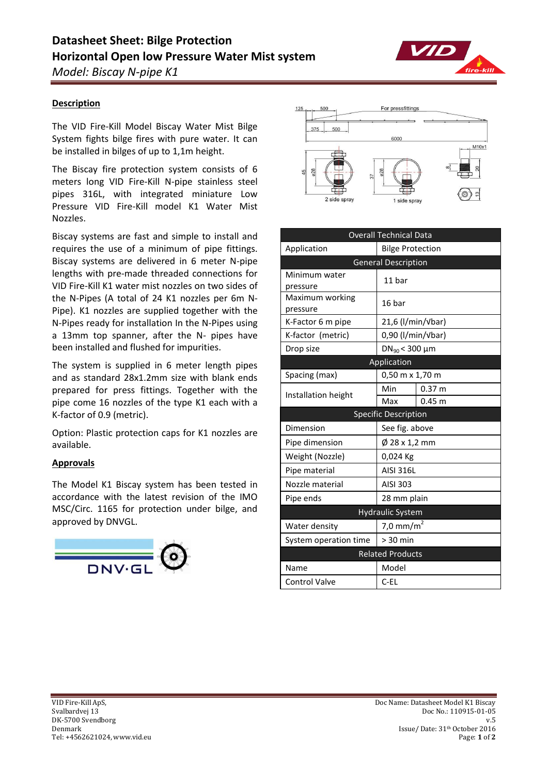

# **Description**

The VID Fire-Kill Model Biscay Water Mist Bilge System fights bilge fires with pure water. It can be installed in bilges of up to 1,1m height.

The Biscay fire protection system consists of 6 meters long VID Fire-Kill N-pipe stainless steel pipes 316L, with integrated miniature Low Pressure VID Fire-Kill model K1 Water Mist Nozzles.

Biscay systems are fast and simple to install and requires the use of a minimum of pipe fittings. Biscay systems are delivered in 6 meter N-pipe lengths with pre-made threaded connections for VID Fire-Kill K1 water mist nozzles on two sides of the N-Pipes (A total of 24 K1 nozzles per 6m N-Pipe). K1 nozzles are supplied together with the N-Pipes ready for installation In the N-Pipes using a 13mm top spanner, after the N- pipes have been installed and flushed for impurities.

The system is supplied in 6 meter length pipes and as standard 28x1.2mm size with blank ends prepared for press fittings. Together with the pipe come 16 nozzles of the type K1 each with a K-factor of 0.9 (metric).

Option: Plastic protection caps for K1 nozzles are available.

# **Approvals**

The Model K1 Biscay system has been tested in accordance with the latest revision of the IMO MSC/Circ. 1165 for protection under bilge, and approved by DNVGL.





| <b>Overall Technical Data</b> |                           |                   |
|-------------------------------|---------------------------|-------------------|
| Application                   | <b>Bilge Protection</b>   |                   |
| <b>General Description</b>    |                           |                   |
| Minimum water<br>pressure     | 11 bar                    |                   |
| Maximum working<br>pressure   | 16 bar                    |                   |
| K-Factor 6 m pipe             | 21,6 (l/min/vbar)         |                   |
| K-factor (metric)             | 0,90 (l/min/vbar)         |                   |
| Drop size                     | $DN_{90}$ < 300 µm        |                   |
| Application                   |                           |                   |
| Spacing (max)                 | 0,50 m x 1,70 m           |                   |
| Installation height           | Min                       | 0.37 <sub>m</sub> |
|                               | Max                       | $0.45 \; m$       |
| <b>Specific Description</b>   |                           |                   |
| Dimension                     | See fig. above            |                   |
| Pipe dimension                | $\varnothing$ 28 x 1,2 mm |                   |
| Weight (Nozzle)               | 0,024 Kg                  |                   |
| Pipe material                 | <b>AISI 316L</b>          |                   |
| Nozzle material               | AISI 303                  |                   |
| Pipe ends                     | 28 mm plain               |                   |
| <b>Hydraulic System</b>       |                           |                   |
| Water density                 | 7,0 mm/m <sup>2</sup>     |                   |
| System operation time         | $> 30$ min                |                   |
| <b>Related Products</b>       |                           |                   |
| Name                          | Model                     |                   |
| <b>Control Valve</b>          | $C$ -EL                   |                   |